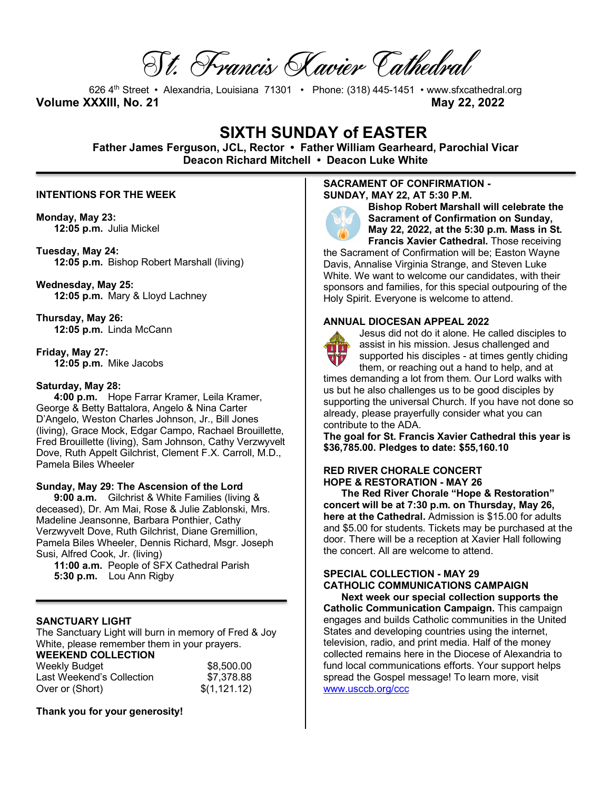St. Francis Xavier Cathedral

626 4th Street • Alexandria, Louisiana 71301 • Phone: (318) 445-1451 • www.sfxcathedral.org **Volume XXXIII, No. 21 May 22, 2022**

# **SIXTH SUNDAY of EASTER**

**Father James Ferguson, JCL, Rector • Father William Gearheard, Parochial Vicar Deacon Richard Mitchell • Deacon Luke White**

#### **INTENTIONS FOR THE WEEK**

**Monday, May 23: 12:05 p.m.** Julia Mickel

**Tuesday, May 24: 12:05 p.m.** Bishop Robert Marshall (living)

**Wednesday, May 25: 12:05 p.m.** Mary & Lloyd Lachney

**Thursday, May 26: 12:05 p.m.** Linda McCann

**Friday, May 27: 12:05 p.m.** Mike Jacobs

## **Saturday, May 28:**

**4:00 p.m.** Hope Farrar Kramer, Leila Kramer, George & Betty Battalora, Angelo & Nina Carter D'Angelo, Weston Charles Johnson, Jr., Bill Jones (living), Grace Mock, Edgar Campo, Rachael Brouillette, Fred Brouillette (living), Sam Johnson, Cathy Verzwyvelt Dove, Ruth Appelt Gilchrist, Clement F.X. Carroll, M.D., Pamela Biles Wheeler

#### **Sunday, May 29: The Ascension of the Lord**

**9:00 a.m.** Gilchrist & White Families (living & deceased), Dr. Am Mai, Rose & Julie Zablonski, Mrs. Madeline Jeansonne, Barbara Ponthier, Cathy Verzwyvelt Dove, Ruth Gilchrist, Diane Gremillion, Pamela Biles Wheeler, Dennis Richard, Msgr. Joseph Susi, Alfred Cook, Jr. (living)

**11:00 a.m.** People of SFX Cathedral Parish **5:30 p.m.** Lou Ann Rigby

## **SANCTUARY LIGHT**

The Sanctuary Light will burn in memory of Fred & Joy White, please remember them in your prayers.

## **WEEKEND COLLECTION**

| <b>Weekly Budget</b>      | \$8,500.00   |
|---------------------------|--------------|
| Last Weekend's Collection | \$7,378.88   |
| Over or (Short)           | \$(1,121.12) |

**Thank you for your generosity!** 

#### **SACRAMENT OF CONFIRMATION - SUNDAY, MAY 22, AT 5:30 P.M.**



**Bishop Robert Marshall will celebrate the Sacrament of Confirmation on Sunday, May 22, 2022, at the 5:30 p.m. Mass in St. Francis Xavier Cathedral.** Those receiving

the Sacrament of Confirmation will be; Easton Wayne Davis, Annalise Virginia Strange, and Steven Luke White. We want to welcome our candidates, with their sponsors and families, for this special outpouring of the Holy Spirit. Everyone is welcome to attend.

#### **ANNUAL DIOCESAN APPEAL 2022**



Jesus did not do it alone. He called disciples to assist in his mission. Jesus challenged and supported his disciples - at times gently chiding

them, or reaching out a hand to help, and at times demanding a lot from them. Our Lord walks with us but he also challenges us to be good disciples by supporting the universal Church. If you have not done so already, please prayerfully consider what you can contribute to the ADA.

**The goal for St. Francis Xavier Cathedral this year is \$36,785.00. Pledges to date: \$55,160.10**

## **RED RIVER CHORALE CONCERT HOPE & RESTORATION - MAY 26**

**The Red River Chorale "Hope & Restoration" concert will be at 7:30 p.m. on Thursday, May 26, here at the Cathedral.** Admission is \$15.00 for adults and \$5.00 for students. Tickets may be purchased at the door. There will be a reception at Xavier Hall following the concert. All are welcome to attend.

## **SPECIAL COLLECTION - MAY 29 CATHOLIC COMMUNICATIONS CAMPAIGN**

**Next week our special collection supports the Catholic Communication Campaign.** This campaign engages and builds Catholic communities in the United States and developing countries using the internet, television, radio, and print media. Half of the money collected remains here in the Diocese of Alexandria to fund local communications efforts. Your support helps spread the Gospel message! To learn more, visit www.usccb.org/ccc